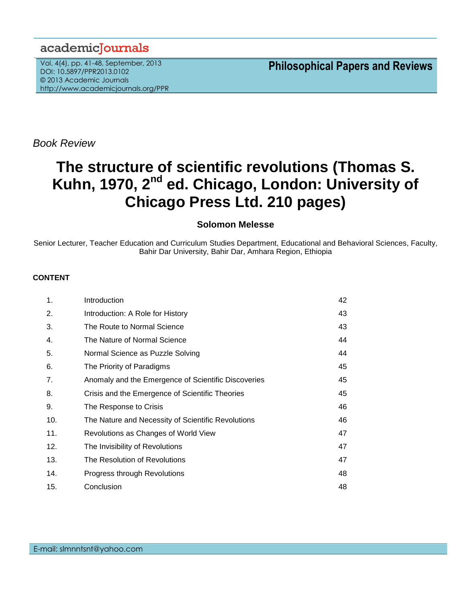## academicJournals

Vol. 4(4), pp. 41-48, September, 2013 DOI: 10.5897/PPR2013.0102 © 2013 Academic Journals http://www.academicjournals.org/PPR

**Philosophical Papers and Reviews**

*Book Review*

# **The structure of scientific revolutions (Thomas S. Kuhn, 1970, 2nd ed. Chicago, London: University of Chicago Press Ltd. 210 pages)**

### **Solomon Melesse**

Senior Lecturer, Teacher Education and Curriculum Studies Department, Educational and Behavioral Sciences, Faculty, Bahir Dar University, Bahir Dar, Amhara Region, Ethiopia

#### **CONTENT**

| 1.  | Introduction                                        | 42 |
|-----|-----------------------------------------------------|----|
| 2.  | Introduction: A Role for History                    | 43 |
| 3.  | The Route to Normal Science                         | 43 |
| 4.  | The Nature of Normal Science                        | 44 |
| 5.  | Normal Science as Puzzle Solving                    | 44 |
| 6.  | The Priority of Paradigms                           | 45 |
| 7.  | Anomaly and the Emergence of Scientific Discoveries | 45 |
| 8.  | Crisis and the Emergence of Scientific Theories     | 45 |
| 9.  | The Response to Crisis                              | 46 |
| 10. | The Nature and Necessity of Scientific Revolutions  | 46 |
| 11. | Revolutions as Changes of World View                | 47 |
| 12. | The Invisibility of Revolutions                     | 47 |
| 13. | The Resolution of Revolutions                       | 47 |
| 14. | Progress through Revolutions                        | 48 |
| 15. | Conclusion                                          | 48 |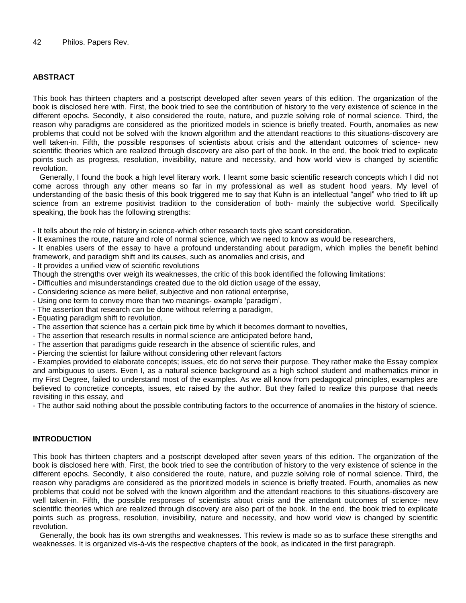#### **ABSTRACT**

This book has thirteen chapters and a postscript developed after seven years of this edition. The organization of the book is disclosed here with. First, the book tried to see the contribution of history to the very existence of science in the different epochs. Secondly, it also considered the route, nature, and puzzle solving role of normal science. Third, the reason why paradigms are considered as the prioritized models in science is briefly treated. Fourth, anomalies as new problems that could not be solved with the known algorithm and the attendant reactions to this situations-discovery are well taken-in. Fifth, the possible responses of scientists about crisis and the attendant outcomes of science- new scientific theories which are realized through discovery are also part of the book. In the end, the book tried to explicate points such as progress, resolution, invisibility, nature and necessity, and how world view is changed by scientific revolution.

Generally, I found the book a high level literary work. I learnt some basic scientific research concepts which I did not come across through any other means so far in my professional as well as student hood years. My level of understanding of the basic thesis of this book triggered me to say that Kuhn is an intellectual "angel" who tried to lift up science from an extreme positivist tradition to the consideration of both- mainly the subjective world. Specifically speaking, the book has the following strengths:

- It tells about the role of history in science-which other research texts give scant consideration,

- It examines the route, nature and role of normal science, which we need to know as would be researchers,
- It enables users of the essay to have a profound understanding about paradigm, which implies the benefit behind framework, and paradigm shift and its causes, such as anomalies and crisis, and
- It provides a unified view of scientific revolutions
- Though the strengths over weigh its weaknesses, the critic of this book identified the following limitations:
- Difficulties and misunderstandings created due to the old diction usage of the essay,
- Considering science as mere belief, subjective and non rational enterprise,
- Using one term to convey more than two meanings- example 'paradigm',
- The assertion that research can be done without referring a paradigm,
- Equating paradigm shift to revolution,
- The assertion that science has a certain pick time by which it becomes dormant to novelties,
- The assertion that research results in normal science are anticipated before hand,
- The assertion that paradigms guide research in the absence of scientific rules, and
- Piercing the scientist for failure without considering other relevant factors

- Examples provided to elaborate concepts; issues, etc do not serve their purpose. They rather make the Essay complex and ambiguous to users. Even I, as a natural science background as a high school student and mathematics minor in my First Degree, failed to understand most of the examples. As we all know from pedagogical principles, examples are believed to concretize concepts, issues, etc raised by the author. But they failed to realize this purpose that needs revisiting in this essay, and

- The author said nothing about the possible contributing factors to the occurrence of anomalies in the history of science.

#### **INTRODUCTION**

This book has thirteen chapters and a postscript developed after seven years of this edition. The organization of the book is disclosed here with. First, the book tried to see the contribution of history to the very existence of science in the different epochs. Secondly, it also considered the route, nature, and puzzle solving role of normal science. Third, the reason why paradigms are considered as the prioritized models in science is briefly treated. Fourth, anomalies as new problems that could not be solved with the known algorithm and the attendant reactions to this situations-discovery are well taken-in. Fifth, the possible responses of scientists about crisis and the attendant outcomes of science- new scientific theories which are realized through discovery are also part of the book. In the end, the book tried to explicate points such as progress, resolution, invisibility, nature and necessity, and how world view is changed by scientific revolution.

Generally, the book has its own strengths and weaknesses. This review is made so as to surface these strengths and weaknesses. It is organized vis-à-vis the respective chapters of the book, as indicated in the first paragraph.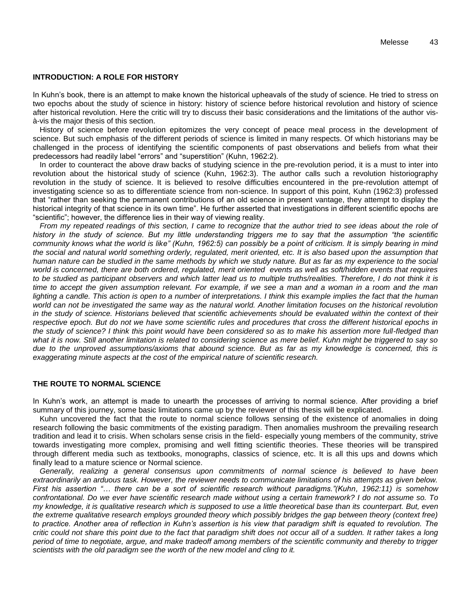#### **INTRODUCTION: A ROLE FOR HISTORY**

In Kuhn's book, there is an attempt to make known the historical upheavals of the study of science. He tried to stress on two epochs about the study of science in history: history of science before historical revolution and history of science after historical revolution. Here the critic will try to discuss their basic considerations and the limitations of the author visà-vis the major thesis of this section.

History of science before revolution epitomizes the very concept of peace meal process in the development of science. But such emphasis of the different periods of science is limited in many respects. Of which historians may be challenged in the process of identifying the scientific components of past observations and beliefs from what their predecessors had readily label "errors" and "superstition" (Kuhn, 1962:2).

In order to counteract the above draw backs of studying science in the pre-revolution period, it is a must to inter into revolution about the historical study of science (Kuhn, 1962:3). The author calls such a revolution historiography revolution in the study of science. It is believed to resolve difficulties encountered in the pre-revolution attempt of investigating science so as to differentiate science from non-science. In support of this point, Kuhn (1962:3) professed that "rather than seeking the permanent contributions of an old science in present vantage, they attempt to display the historical integrity of that science in its own time". He further asserted that investigations in different scientific epochs are "scientific"; however, the difference lies in their way of viewing reality.

*From my repeated readings of this section, I came to recognize that the author tried to see ideas about the role of history in the study of science. But my little understanding triggers me to say that the assumption "the scientific community knows what the world is like" (Kuhn, 1962:5) can possibly be a point of criticism. It is simply bearing in mind the social and natural world something orderly, regulated, merit oriented, etc. It is also based upon the assumption that human nature can be studied in the same methods by which we study nature. But as far as my experience to the social world is concerned, there are both ordered, regulated, merit oriented events as well as soft/hidden events that requires to be studied as participant observers and which latter lead us to multiple truths/realities. Therefore, I do not think it is time to accept the given assumption relevant. For example, if we see a man and a woman in a room and the man lighting a candle. This action is open to a number of interpretations. I think this example implies the fact that the human world can not be investigated the same way as the natural world. Another limitation focuses on the historical revolution in the study of science. Historians believed that scientific achievements should be evaluated within the context of their respective epoch. But do not we have some scientific rules and procedures that cross the different historical epochs in the study of science? I think this point would have been considered so as to make his assertion more full-fledged than what it is now. Still another limitation is related to considering science as mere belief. Kuhn might be triggered to say so due to the unproved assumptions/axioms that abound science. But as far as my knowledge is concerned, this is exaggerating minute aspects at the cost of the empirical nature of scientific research.* 

#### **THE ROUTE TO NORMAL SCIENCE**

In Kuhn's work, an attempt is made to unearth the processes of arriving to normal science. After providing a brief summary of this journey, some basic limitations came up by the reviewer of this thesis will be explicated.

Kuhn uncovered the fact that the route to normal science follows sensing of the existence of anomalies in doing research following the basic commitments of the existing paradigm. Then anomalies mushroom the prevailing research tradition and lead it to crisis. When scholars sense crisis in the field- especially young members of the community, strive towards investigating more complex, promising and well fitting scientific theories. These theories will be transpired through different media such as textbooks, monographs, classics of science, etc. It is all this ups and downs which finally lead to a mature science or Normal science.

*Generally, realizing a general consensus upon commitments of normal science is believed to have been extraordinarily an arduous task. However, the reviewer needs to communicate limitations of his attempts as given below. First his assertion "… there can be a sort of scientific research without paradigms."(Kuhn, 1962:11) is somehow confrontational. Do we ever have scientific research made without using a certain framework? I do not assume so. To my knowledge, it is qualitative research which is supposed to use a little theoretical base than its counterpart. But, even the extreme qualitative research employs grounded theory which possibly bridges the gap between theory (context free) to practice. Another area of reflection in Kuhn's assertion is his view that paradigm shift is equated to revolution. The critic could not share this point due to the fact that paradigm shift does not occur all of a sudden. It rather takes a long period of time to negotiate, argue, and make tradeoff among members of the scientific community and thereby to trigger scientists with the old paradigm see the worth of the new model and cling to it.*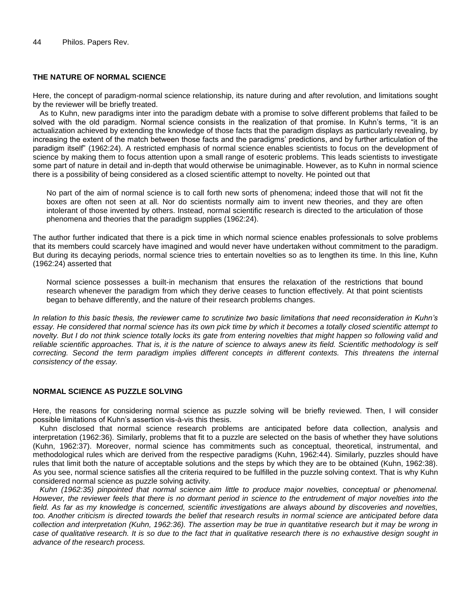#### **THE NATURE OF NORMAL SCIENCE**

Here, the concept of paradigm-normal science relationship, its nature during and after revolution, and limitations sought by the reviewer will be briefly treated.

As to Kuhn, new paradigms inter into the paradigm debate with a promise to solve different problems that failed to be solved with the old paradigm. Normal science consists in the realization of that promise. In Kuhn's terms, "it is an actualization achieved by extending the knowledge of those facts that the paradigm displays as particularly revealing, by increasing the extent of the match between those facts and the paradigms' predictions, and by further articulation of the paradigm itself" (1962:24). A restricted emphasis of normal science enables scientists to focus on the development of science by making them to focus attention upon a small range of esoteric problems. This leads scientists to investigate some part of nature in detail and in-depth that would otherwise be unimaginable. However, as to Kuhn in normal science there is a possibility of being considered as a closed scientific attempt to novelty. He pointed out that

No part of the aim of normal science is to call forth new sorts of phenomena; indeed those that will not fit the boxes are often not seen at all. Nor do scientists normally aim to invent new theories, and they are often intolerant of those invented by others. Instead, normal scientific research is directed to the articulation of those phenomena and theories that the paradigm supplies (1962:24).

The author further indicated that there is a pick time in which normal science enables professionals to solve problems that its members could scarcely have imagined and would never have undertaken without commitment to the paradigm. But during its decaying periods, normal science tries to entertain novelties so as to lengthen its time. In this line, Kuhn (1962:24) asserted that

Normal science possesses a built-in mechanism that ensures the relaxation of the restrictions that bound research whenever the paradigm from which they derive ceases to function effectively. At that point scientists began to behave differently, and the nature of their research problems changes.

*In relation to this basic thesis, the reviewer came to scrutinize two basic limitations that need reconsideration in Kuhn's essay. He considered that normal science has its own pick time by which it becomes a totally closed scientific attempt to novelty. But I do not think science totally locks its gate from entering novelties that might happen so following valid and reliable scientific approaches. That is, it is the nature of science to always anew its field. Scientific methodology is self correcting. Second the term paradigm implies different concepts in different contexts. This threatens the internal consistency of the essay.*

#### **NORMAL SCIENCE AS PUZZLE SOLVING**

Here, the reasons for considering normal science as puzzle solving will be briefly reviewed. Then, I will consider possible limitations of Kuhn's assertion vis-à-vis this thesis.

Kuhn disclosed that normal science research problems are anticipated before data collection, analysis and interpretation (1962:36). Similarly, problems that fit to a puzzle are selected on the basis of whether they have solutions (Kuhn, 1962:37). Moreover, normal science has commitments such as conceptual, theoretical, instrumental, and methodological rules which are derived from the respective paradigms (Kuhn, 1962:44). Similarly, puzzles should have rules that limit both the nature of acceptable solutions and the steps by which they are to be obtained (Kuhn, 1962:38). As you see, normal science satisfies all the criteria required to be fulfilled in the puzzle solving context. That is why Kuhn considered normal science as puzzle solving activity.

*Kuhn (1962:35) pinpointed that normal science aim little to produce major novelties, conceptual or phenomenal. However, the reviewer feels that there is no dormant period in science to the entrudement of major novelties into the*  field. As far as my knowledge is concerned, scientific investigations are always abound by discoveries and novelties, *too. Another criticism is directed towards the belief that research results in normal science are anticipated before data collection and interpretation (Kuhn, 1962:36). The assertion may be true in quantitative research but it may be wrong in case of qualitative research. It is so due to the fact that in qualitative research there is no exhaustive design sought in advance of the research process.*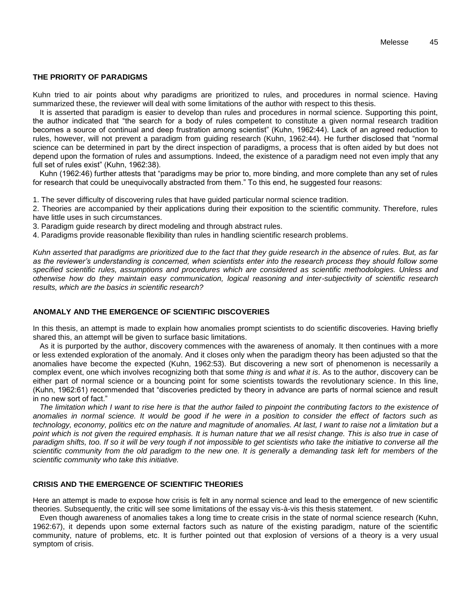#### **THE PRIORITY OF PARADIGMS**

Kuhn tried to air points about why paradigms are prioritized to rules, and procedures in normal science. Having summarized these, the reviewer will deal with some limitations of the author with respect to this thesis.

It is asserted that paradigm is easier to develop than rules and procedures in normal science. Supporting this point, the author indicated that "the search for a body of rules competent to constitute a given normal research tradition becomes a source of continual and deep frustration among scientist" (Kuhn, 1962:44). Lack of an agreed reduction to rules, however, will not prevent a paradigm from guiding research (Kuhn, 1962:44). He further disclosed that "normal science can be determined in part by the direct inspection of paradigms, a process that is often aided by but does not depend upon the formation of rules and assumptions. Indeed, the existence of a paradigm need not even imply that any full set of rules exist" (Kuhn, 1962:38).

Kuhn (1962:46) further attests that "paradigms may be prior to, more binding, and more complete than any set of rules for research that could be unequivocally abstracted from them." To this end, he suggested four reasons:

1. The sever difficulty of discovering rules that have guided particular normal science tradition.

2. Theories are accompanied by their applications during their exposition to the scientific community. Therefore, rules have little uses in such circumstances.

3. Paradigm guide research by direct modeling and through abstract rules.

4. Paradigms provide reasonable flexibility than rules in handling scientific research problems.

*Kuhn asserted that paradigms are prioritized due to the fact that they guide research in the absence of rules. But, as far as the reviewer's understanding is concerned, when scientists enter into the research process they should follow some specified scientific rules, assumptions and procedures which are considered as scientific methodologies. Unless and otherwise how do they maintain easy communication, logical reasoning and inter-subjectivity of scientific research results, which are the basics in scientific research?* 

#### **ANOMALY AND THE EMERGENCE OF SCIENTIFIC DISCOVERIES**

In this thesis, an attempt is made to explain how anomalies prompt scientists to do scientific discoveries. Having briefly shared this, an attempt will be given to surface basic limitations.

As it is purported by the author, discovery commences with the awareness of anomaly. It then continues with a more or less extended exploration of the anomaly. And it closes only when the paradigm theory has been adjusted so that the anomalies have become the expected (Kuhn, 1962:53). But discovering a new sort of phenomenon is necessarily a complex event, one which involves recognizing both that some *thing is* and *what it is*. As to the author, discovery can be either part of normal science or a bouncing point for some scientists towards the revolutionary science. In this line, (Kuhn, 1962:61) recommended that "discoveries predicted by theory in advance are parts of normal science and result in no new sort of fact."

*The limitation which I want to rise here is that the author failed to pinpoint the contributing factors to the existence of anomalies in normal science. It would be good if he were in a position to consider the effect of factors such as technology, economy, politics etc on the nature and magnitude of anomalies. At last, I want to raise not a limitation but a point which is not given the required emphasis. It is human nature that we all resist change. This is also true in case of paradigm shifts, too. If so it will be very tough if not impossible to get scientists who take the initiative to converse all the scientific community from the old paradigm to the new one. It is generally a demanding task left for members of the scientific community who take this initiative.*

#### **CRISIS AND THE EMERGENCE OF SCIENTIFIC THEORIES**

Here an attempt is made to expose how crisis is felt in any normal science and lead to the emergence of new scientific theories. Subsequently, the critic will see some limitations of the essay vis-à-vis this thesis statement.

Even though awareness of anomalies takes a long time to create crisis in the state of normal science research (Kuhn, 1962:67), it depends upon some external factors such as nature of the existing paradigm, nature of the scientific community, nature of problems, etc. It is further pointed out that explosion of versions of a theory is a very usual symptom of crisis.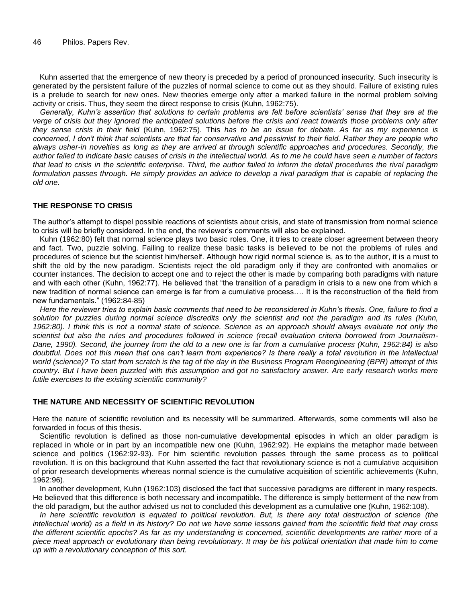Kuhn asserted that the emergence of new theory is preceded by a period of pronounced insecurity. Such insecurity is generated by the persistent failure of the puzzles of normal science to come out as they should. Failure of existing rules is a prelude to search for new ones. New theories emerge only after a marked failure in the normal problem solving activity or crisis. Thus, they seem the direct response to crisis (Kuhn, 1962:75).

*Generally, Kuhn's assertion that solutions to certain problems are felt before scientists' sense that they are at the verge of crisis but they ignored the anticipated solutions before the crisis and react towards those problems only after they sense crisis in their field* (Kuhn, 1962:75). This *has to be an issue for debate. As far as my experience is concerned, I don't think that scientists are that far conservative and pessimist to their field. Rather they are people who always usher-in novelties as long as they are arrived at through scientific approaches and procedures. Secondly, the author failed to indicate basic causes of crisis in the intellectual world. As to me he could have seen a number of factors that lead to crisis in the scientific enterprise. Third, the author failed to inform the detail procedures the rival paradigm*  formulation passes through. He simply provides an advice to develop a rival paradigm that is capable of replacing the *old one.*

#### **THE RESPONSE TO CRISIS**

The author's attempt to dispel possible reactions of scientists about crisis, and state of transmission from normal science to crisis will be briefly considered. In the end, the reviewer's comments will also be explained.

Kuhn (1962:80) felt that normal science plays two basic roles. One, it tries to create closer agreement between theory and fact. Two, puzzle solving. Failing to realize these basic tasks is believed to be not the problems of rules and procedures of science but the scientist him/herself. Although how rigid normal science is, as to the author, it is a must to shift the old by the new paradigm. Scientists reject the old paradigm only if they are confronted with anomalies or counter instances. The decision to accept one and to reject the other is made by comparing both paradigms with nature and with each other (Kuhn, 1962:77). He believed that "the transition of a paradigm in crisis to a new one from which a new tradition of normal science can emerge is far from a cumulative process…. It is the reconstruction of the field from new fundamentals." (1962:84-85)

*Here the reviewer tries to explain basic comments that need to be reconsidered in Kuhn's thesis. One, failure to find a solution for puzzles during normal science discredits only the scientist and not the paradigm and its rules (Kuhn, 1962:80). I think this is not a normal state of science. Science as an approach should always evaluate not only the scientist but also the rules and procedures followed in science (recall evaluation criteria borrowed from Journalism-Dane, 1990). Second, the journey from the old to a new one is far from a cumulative process (Kuhn, 1962:84) is also doubtful. Does not this mean that one can't learn from experience? Is there really a total revolution in the intellectual world (science)? To start from scratch is the tag of the day in the Business Program Reengineering (BPR) attempt of this country. But I have been puzzled with this assumption and got no satisfactory answer. Are early research works mere futile exercises to the existing scientific community?* 

#### **THE NATURE AND NECESSITY OF SCIENTIFIC REVOLUTION**

Here the nature of scientific revolution and its necessity will be summarized. Afterwards, some comments will also be forwarded in focus of this thesis.

Scientific revolution is defined as those non-cumulative developmental episodes in which an older paradigm is replaced in whole or in part by an incompatible new one (Kuhn, 1962:92). He explains the metaphor made between science and politics (1962:92-93). For him scientific revolution passes through the same process as to political revolution. It is on this background that Kuhn asserted the fact that revolutionary science is not a cumulative acquisition of prior research developments whereas normal science is the cumulative acquisition of scientific achievements (Kuhn, 1962:96).

In another development, Kuhn (1962:103) disclosed the fact that successive paradigms are different in many respects. He believed that this difference is both necessary and incompatible. The difference is simply betterment of the new from the old paradigm, but the author advised us not to concluded this development as a cumulative one (Kuhn, 1962:108).

*In here scientific revolution is equated to political revolution. But, is there any total destruction of science (the intellectual world) as a field in its history? Do not we have some lessons gained from the scientific field that may cross the different scientific epochs? As far as my understanding is concerned, scientific developments are rather more of a piece meal approach or evolutionary than being revolutionary. It may be his political orientation that made him to come up with a revolutionary conception of this sort.*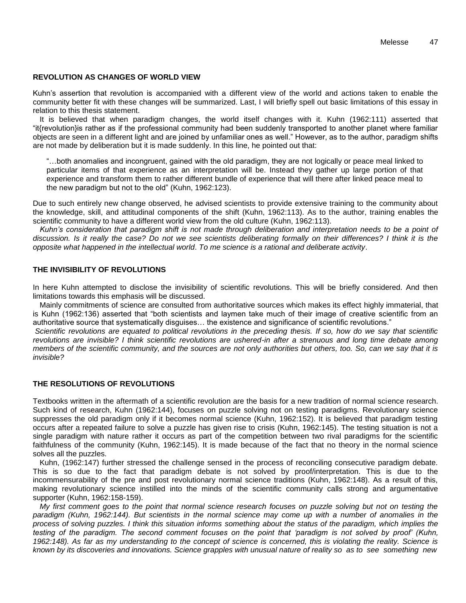#### **REVOLUTION AS CHANGES OF WORLD VIEW**

Kuhn's assertion that revolution is accompanied with a different view of the world and actions taken to enable the community better fit with these changes will be summarized. Last, I will briefly spell out basic limitations of this essay in relation to this thesis statement.

It is believed that when paradigm changes, the world itself changes with it. Kuhn (1962:111) asserted that "it{revolution}is rather as if the professional community had been suddenly transported to another planet where familiar objects are seen in a different light and are joined by unfamiliar ones as well." However, as to the author, paradigm shifts are not made by deliberation but it is made suddenly. In this line, he pointed out that:

"…both anomalies and incongruent, gained with the old paradigm, they are not logically or peace meal linked to particular items of that experience as an interpretation will be. Instead they gather up large portion of that experience and transform them to rather different bundle of experience that will there after linked peace meal to the new paradigm but not to the old" (Kuhn, 1962:123).

Due to such entirely new change observed, he advised scientists to provide extensive training to the community about the knowledge, skill, and attitudinal components of the shift (Kuhn, 1962:113). As to the author, training enables the scientific community to have a different world view from the old culture (Kuhn, 1962:113).

*Kuhn's consideration that paradigm shift is not made through deliberation and interpretation needs to be a point of discussion. Is it really the case? Do not we see scientists deliberating formally on their differences? I think it is the opposite what happened in the intellectual world*. *To me science is a rational and deliberate activity*.

#### **THE INVISIBILITY OF REVOLUTIONS**

In here Kuhn attempted to disclose the invisibility of scientific revolutions. This will be briefly considered. And then limitations towards this emphasis will be discussed.

Mainly commitments of science are consulted from authoritative sources which makes its effect highly immaterial, that is Kuhn (1962:136) asserted that "both scientists and laymen take much of their image of creative scientific from an authoritative source that systematically disguises… the existence and significance of scientific revolutions."

*Scientific revolutions are equated to political revolutions in the preceding thesis. If so, how do we say that scientific revolutions are invisible? I think scientific revolutions are ushered-in after a strenuous and long time debate among members of the scientific community, and the sources are not only authorities but others, too. So, can we say that it is invisible?*

#### **THE RESOLUTIONS OF REVOLUTIONS**

Textbooks written in the aftermath of a scientific revolution are the basis for a new tradition of normal science research. Such kind of research, Kuhn (1962:144), focuses on puzzle solving not on testing paradigms. Revolutionary science suppresses the old paradigm only if it becomes normal science (Kuhn, 1962:152). It is believed that paradigm testing occurs after a repeated failure to solve a puzzle has given rise to crisis (Kuhn, 1962:145). The testing situation is not a single paradigm with nature rather it occurs as part of the competition between two rival paradigms for the scientific faithfulness of the community (Kuhn, 1962:145). It is made because of the fact that no theory in the normal science solves all the puzzles.

Kuhn, (1962:147) further stressed the challenge sensed in the process of reconciling consecutive paradigm debate. This is so due to the fact that paradigm debate is not solved by proof/interpretation. This is due to the incommensurability of the pre and post revolutionary normal science traditions (Kuhn, 1962:148). As a result of this, making revolutionary science instilled into the minds of the scientific community calls strong and argumentative supporter (Kuhn, 1962:158-159).

*My first comment goes to the point that normal science research focuses on puzzle solving but not on testing the*  paradigm (Kuhn, 1962:144). But scientists in the normal science may come up with a number of anomalies in the *process of solving puzzles. I think this situation informs something about the status of the paradigm, which implies the testing of the paradigm. The second comment focuses on the point that 'paradigm is not solved by proof' (Kuhn, 1962:148). As far as my understanding to the concept of science is concerned, this is violating the reality. Science is known by its discoveries and innovations. Science grapples with unusual nature of reality so as to see something new*